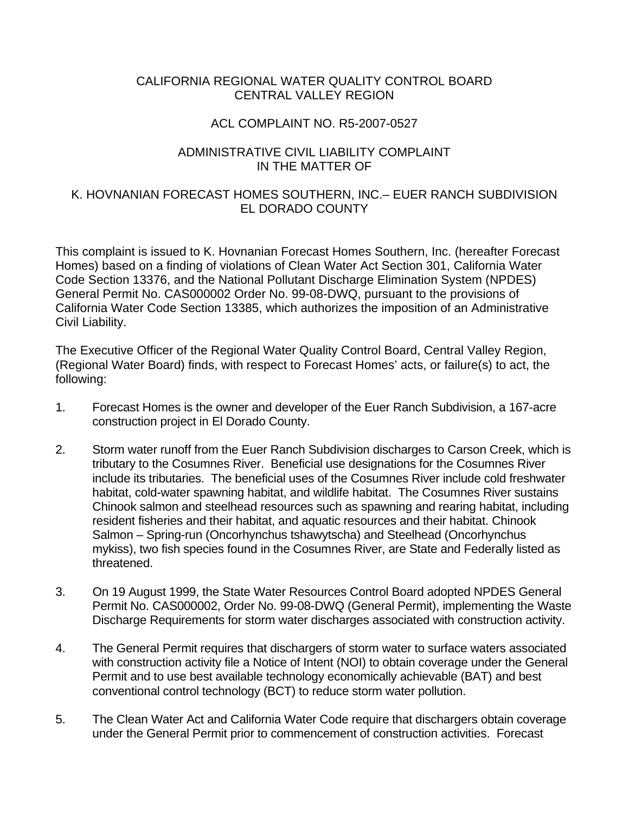## CALIFORNIA REGIONAL WATER QUALITY CONTROL BOARD CENTRAL VALLEY REGION

## ACL COMPLAINT NO. R5-2007-0527

## ADMINISTRATIVE CIVIL LIABILITY COMPLAINT IN THE MATTER OF

## K. HOVNANIAN FORECAST HOMES SOUTHERN, INC.– EUER RANCH SUBDIVISION EL DORADO COUNTY

This complaint is issued to K. Hovnanian Forecast Homes Southern, Inc. (hereafter Forecast Homes) based on a finding of violations of Clean Water Act Section 301, California Water Code Section 13376, and the National Pollutant Discharge Elimination System (NPDES) General Permit No. CAS000002 Order No. 99-08-DWQ, pursuant to the provisions of California Water Code Section 13385, which authorizes the imposition of an Administrative Civil Liability.

The Executive Officer of the Regional Water Quality Control Board, Central Valley Region, (Regional Water Board) finds, with respect to Forecast Homes' acts, or failure(s) to act, the following:

- 1. Forecast Homes is the owner and developer of the Euer Ranch Subdivision, a 167-acre construction project in El Dorado County.
- 2. Storm water runoff from the Euer Ranch Subdivision discharges to Carson Creek, which is tributary to the Cosumnes River. Beneficial use designations for the Cosumnes River include its tributaries. The beneficial uses of the Cosumnes River include cold freshwater habitat, cold-water spawning habitat, and wildlife habitat. The Cosumnes River sustains Chinook salmon and steelhead resources such as spawning and rearing habitat, including resident fisheries and their habitat, and aquatic resources and their habitat. Chinook Salmon – Spring-run (Oncorhynchus tshawytscha) and Steelhead (Oncorhynchus mykiss), two fish species found in the Cosumnes River, are State and Federally listed as threatened.
- 3. On 19 August 1999, the State Water Resources Control Board adopted NPDES General Permit No. CAS000002, Order No. 99-08-DWQ (General Permit), implementing the Waste Discharge Requirements for storm water discharges associated with construction activity.
- 4. The General Permit requires that dischargers of storm water to surface waters associated with construction activity file a Notice of Intent (NOI) to obtain coverage under the General Permit and to use best available technology economically achievable (BAT) and best conventional control technology (BCT) to reduce storm water pollution.
- 5. The Clean Water Act and California Water Code require that dischargers obtain coverage under the General Permit prior to commencement of construction activities. Forecast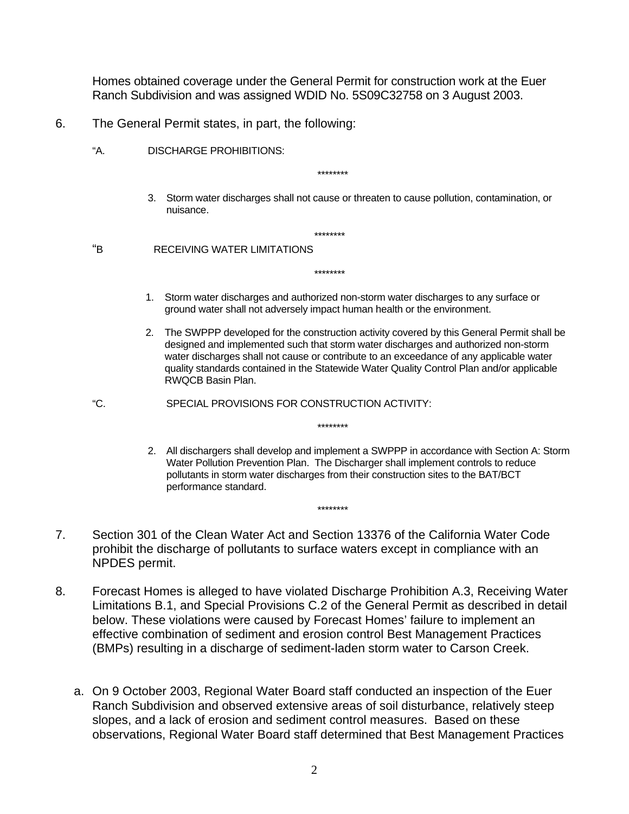Homes obtained coverage under the General Permit for construction work at the Euer Ranch Subdivision and was assigned WDID No. 5S09C32758 on 3 August 2003.

- 6. The General Permit states, in part, the following:
	- "A. DISCHARGE PROHIBITIONS:

\*\*\*\*\*\*\*\*

3. Storm water discharges shall not cause or threaten to cause pollution, contamination, or nuisance.

 \*\*\*\*\*\*\*\* "B RECEIVING WATER LIMITATIONS

\*\*\*\*\*\*\*\*

1. Storm water discharges and authorized non-storm water discharges to any surface or ground water shall not adversely impact human health or the environment.

\*\*\*\*\*\*\*\*

\*\*\*\*\*\*\*\*

- 2. The SWPPP developed for the construction activity covered by this General Permit shall be designed and implemented such that storm water discharges and authorized non-storm water discharges shall not cause or contribute to an exceedance of any applicable water quality standards contained in the Statewide Water Quality Control Plan and/or applicable RWQCB Basin Plan.
- "C. SPECIAL PROVISIONS FOR CONSTRUCTION ACTIVITY:
	- 2. All dischargers shall develop and implement a SWPPP in accordance with Section A: Storm Water Pollution Prevention Plan. The Discharger shall implement controls to reduce pollutants in storm water discharges from their construction sites to the BAT/BCT performance standard.
- 7. Section 301 of the Clean Water Act and Section 13376 of the California Water Code prohibit the discharge of pollutants to surface waters except in compliance with an NPDES permit.
- 8. Forecast Homes is alleged to have violated Discharge Prohibition A.3, Receiving Water Limitations B.1, and Special Provisions C.2 of the General Permit as described in detail below. These violations were caused by Forecast Homes' failure to implement an effective combination of sediment and erosion control Best Management Practices (BMPs) resulting in a discharge of sediment-laden storm water to Carson Creek.
	- a. On 9 October 2003, Regional Water Board staff conducted an inspection of the Euer Ranch Subdivision and observed extensive areas of soil disturbance, relatively steep slopes, and a lack of erosion and sediment control measures. Based on these observations, Regional Water Board staff determined that Best Management Practices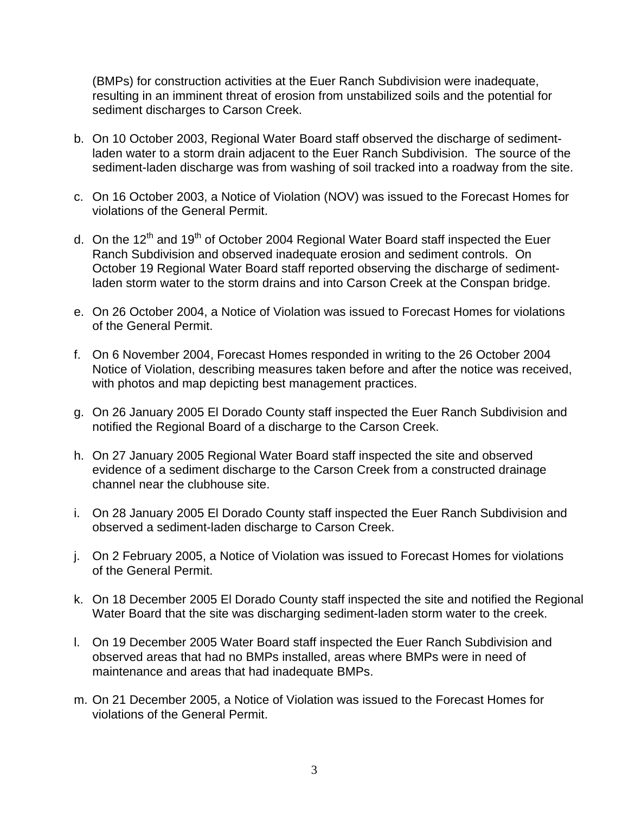(BMPs) for construction activities at the Euer Ranch Subdivision were inadequate, resulting in an imminent threat of erosion from unstabilized soils and the potential for sediment discharges to Carson Creek.

- b. On 10 October 2003, Regional Water Board staff observed the discharge of sedimentladen water to a storm drain adjacent to the Euer Ranch Subdivision. The source of the sediment-laden discharge was from washing of soil tracked into a roadway from the site.
- c. On 16 October 2003, a Notice of Violation (NOV) was issued to the Forecast Homes for violations of the General Permit.
- d. On the 12<sup>th</sup> and 19<sup>th</sup> of October 2004 Regional Water Board staff inspected the Euer Ranch Subdivision and observed inadequate erosion and sediment controls. On October 19 Regional Water Board staff reported observing the discharge of sedimentladen storm water to the storm drains and into Carson Creek at the Conspan bridge.
- e. On 26 October 2004, a Notice of Violation was issued to Forecast Homes for violations of the General Permit.
- f. On 6 November 2004, Forecast Homes responded in writing to the 26 October 2004 Notice of Violation, describing measures taken before and after the notice was received, with photos and map depicting best management practices.
- g. On 26 January 2005 El Dorado County staff inspected the Euer Ranch Subdivision and notified the Regional Board of a discharge to the Carson Creek.
- h. On 27 January 2005 Regional Water Board staff inspected the site and observed evidence of a sediment discharge to the Carson Creek from a constructed drainage channel near the clubhouse site.
- i. On 28 January 2005 El Dorado County staff inspected the Euer Ranch Subdivision and observed a sediment-laden discharge to Carson Creek.
- j. On 2 February 2005, a Notice of Violation was issued to Forecast Homes for violations of the General Permit.
- k. On 18 December 2005 El Dorado County staff inspected the site and notified the Regional Water Board that the site was discharging sediment-laden storm water to the creek.
- l. On 19 December 2005 Water Board staff inspected the Euer Ranch Subdivision and observed areas that had no BMPs installed, areas where BMPs were in need of maintenance and areas that had inadequate BMPs.
- m. On 21 December 2005, a Notice of Violation was issued to the Forecast Homes for violations of the General Permit.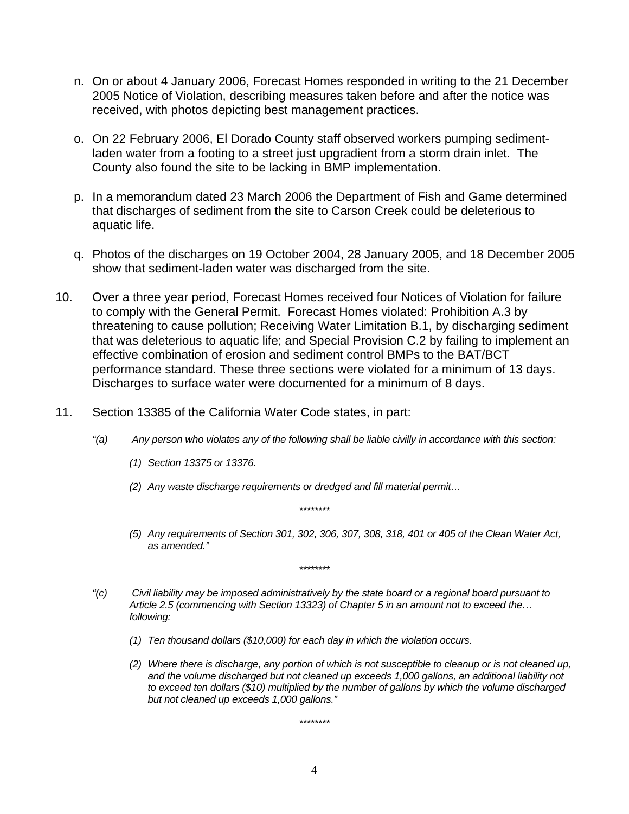- n. On or about 4 January 2006, Forecast Homes responded in writing to the 21 December 2005 Notice of Violation, describing measures taken before and after the notice was received, with photos depicting best management practices.
- o. On 22 February 2006, El Dorado County staff observed workers pumping sedimentladen water from a footing to a street just upgradient from a storm drain inlet. The County also found the site to be lacking in BMP implementation.
- p. In a memorandum dated 23 March 2006 the Department of Fish and Game determined that discharges of sediment from the site to Carson Creek could be deleterious to aquatic life.
- q. Photos of the discharges on 19 October 2004, 28 January 2005, and 18 December 2005 show that sediment-laden water was discharged from the site.
- 10. Over a three year period, Forecast Homes received four Notices of Violation for failure to comply with the General Permit. Forecast Homes violated: Prohibition A.3 by threatening to cause pollution; Receiving Water Limitation B.1, by discharging sediment that was deleterious to aquatic life; and Special Provision C.2 by failing to implement an effective combination of erosion and sediment control BMPs to the BAT/BCT performance standard. These three sections were violated for a minimum of 13 days. Discharges to surface water were documented for a minimum of 8 days.
- 11. Section 13385 of the California Water Code states, in part:
	- *"(a) Any person who violates any of the following shall be liable civilly in accordance with this section:* 
		- *(1) Section 13375 or 13376.*
		- *(2) Any waste discharge requirements or dredged and fill material permit…*

*\*\*\*\*\*\*\*\** 

*\*\*\*\*\*\*\*\** 

*(5) Any requirements of Section 301, 302, 306, 307, 308, 318, 401 or 405 of the Clean Water Act, as amended."* 

- *"(c) Civil liability may be imposed administratively by the state board or a regional board pursuant to Article 2.5 (commencing with Section 13323) of Chapter 5 in an amount not to exceed the… following:* 
	- *(1) Ten thousand dollars (\$10,000) for each day in which the violation occurs.*
	- *(2) Where there is discharge, any portion of which is not susceptible to cleanup or is not cleaned up, and the volume discharged but not cleaned up exceeds 1,000 gallons, an additional liability not to exceed ten dollars (\$10) multiplied by the number of gallons by which the volume discharged but not cleaned up exceeds 1,000 gallons."*

*\*\*\*\*\*\*\*\**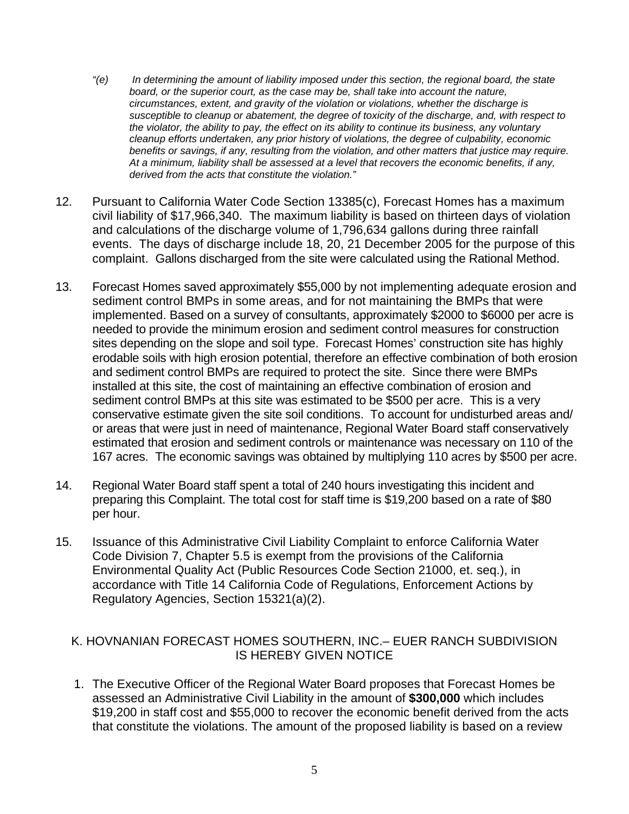- *"(e) In determining the amount of liability imposed under this section, the regional board, the state*  board, or the superior court, as the case may be, shall take into account the nature, *circumstances, extent, and gravity of the violation or violations, whether the discharge is susceptible to cleanup or abatement, the degree of toxicity of the discharge, and, with respect to the violator, the ability to pay, the effect on its ability to continue its business, any voluntary cleanup efforts undertaken, any prior history of violations, the degree of culpability, economic benefits or savings, if any, resulting from the violation, and other matters that justice may require. At a minimum, liability shall be assessed at a level that recovers the economic benefits, if any, derived from the acts that constitute the violation."*
- 12. Pursuant to California Water Code Section 13385(c), Forecast Homes has a maximum civil liability of \$17,966,340. The maximum liability is based on thirteen days of violation and calculations of the discharge volume of 1,796,634 gallons during three rainfall events. The days of discharge include 18, 20, 21 December 2005 for the purpose of this complaint. Gallons discharged from the site were calculated using the Rational Method.
- 13. Forecast Homes saved approximately \$55,000 by not implementing adequate erosion and sediment control BMPs in some areas, and for not maintaining the BMPs that were implemented. Based on a survey of consultants, approximately \$2000 to \$6000 per acre is needed to provide the minimum erosion and sediment control measures for construction sites depending on the slope and soil type. Forecast Homes' construction site has highly erodable soils with high erosion potential, therefore an effective combination of both erosion and sediment control BMPs are required to protect the site. Since there were BMPs installed at this site, the cost of maintaining an effective combination of erosion and sediment control BMPs at this site was estimated to be \$500 per acre. This is a very conservative estimate given the site soil conditions. To account for undisturbed areas and/ or areas that were just in need of maintenance, Regional Water Board staff conservatively estimated that erosion and sediment controls or maintenance was necessary on 110 of the 167 acres. The economic savings was obtained by multiplying 110 acres by \$500 per acre.
- 14. Regional Water Board staff spent a total of 240 hours investigating this incident and preparing this Complaint. The total cost for staff time is \$19,200 based on a rate of \$80 per hour.
- 15. Issuance of this Administrative Civil Liability Complaint to enforce California Water Code Division 7, Chapter 5.5 is exempt from the provisions of the California Environmental Quality Act (Public Resources Code Section 21000, et. seq.), in accordance with Title 14 California Code of Regulations, Enforcement Actions by Regulatory Agencies, Section 15321(a)(2).

## K. HOVNANIAN FORECAST HOMES SOUTHERN, INC.– EUER RANCH SUBDIVISION IS HEREBY GIVEN NOTICE

1. The Executive Officer of the Regional Water Board proposes that Forecast Homes be assessed an Administrative Civil Liability in the amount of **\$300,000** which includes \$19,200 in staff cost and \$55,000 to recover the economic benefit derived from the acts that constitute the violations. The amount of the proposed liability is based on a review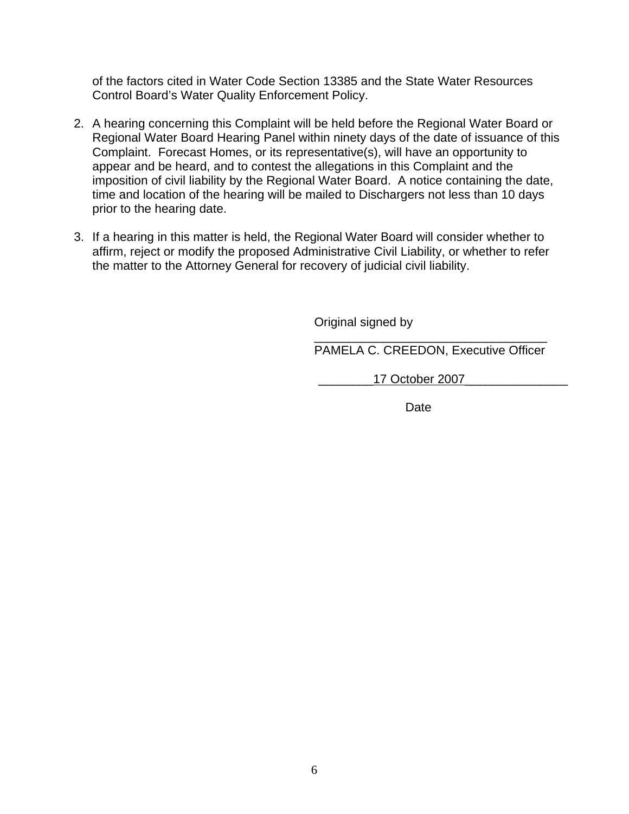of the factors cited in Water Code Section 13385 and the State Water Resources Control Board's Water Quality Enforcement Policy.

- 2. A hearing concerning this Complaint will be held before the Regional Water Board or Regional Water Board Hearing Panel within ninety days of the date of issuance of this Complaint. Forecast Homes, or its representative(s), will have an opportunity to appear and be heard, and to contest the allegations in this Complaint and the imposition of civil liability by the Regional Water Board. A notice containing the date, time and location of the hearing will be mailed to Dischargers not less than 10 days prior to the hearing date.
- 3. If a hearing in this matter is held, the Regional Water Board will consider whether to affirm, reject or modify the proposed Administrative Civil Liability, or whether to refer the matter to the Attorney General for recovery of judicial civil liability.

Original signed by

 $\overline{\phantom{a}}$  , which is a constant of the constant of the constant of the constant of the constant of the constant of the constant of the constant of the constant of the constant of the constant of the constant of the cons PAMELA C. CREEDON, Executive Officer

\_\_\_\_\_\_\_\_17 October 2007\_\_\_\_\_\_\_\_\_\_\_\_\_\_\_

<u>Date</u> and the contract of the contract of the contract of the contract of the contract of the contract of the con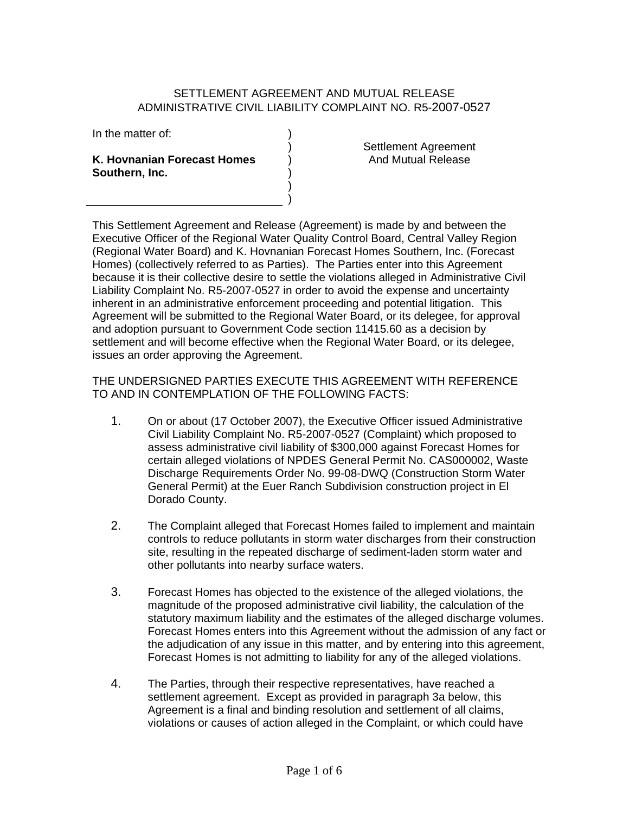### SETTI EMENT AGREEMENT AND MUTUAL RELEASE ADMINISTRATIVE CIVIL LIABILITY COMPLAINT NO. R5-2007-0527

) ) ) ) ) )

In the matter of:

#### **K. Hovnanian Forecast Homes Southern, Inc.**

Settlement Agreement And Mutual Release

This Settlement Agreement and Release (Agreement) is made by and between the Executive Officer of the Regional Water Quality Control Board, Central Valley Region (Regional Water Board) and K. Hovnanian Forecast Homes Southern, Inc. (Forecast Homes) (collectively referred to as Parties). The Parties enter into this Agreement because it is their collective desire to settle the violations alleged in Administrative Civil Liability Complaint No. R5-2007-0527 in order to avoid the expense and uncertainty inherent in an administrative enforcement proceeding and potential litigation. This Agreement will be submitted to the Regional Water Board, or its delegee, for approval and adoption pursuant to Government Code section 11415.60 as a decision by settlement and will become effective when the Regional Water Board, or its delegee, issues an order approving the Agreement.

THE UNDERSIGNED PARTIES EXECUTE THIS AGREEMENT WITH REFERENCE TO AND IN CONTEMPLATION OF THE FOLLOWING FACTS:

- 1. On or about (17 October 2007), the Executive Officer issued Administrative Civil Liability Complaint No. R5-2007-0527 (Complaint) which proposed to assess administrative civil liability of \$300,000 against Forecast Homes for certain alleged violations of NPDES General Permit No. CAS000002, Waste Discharge Requirements Order No. 99-08-DWQ (Construction Storm Water General Permit) at the Euer Ranch Subdivision construction project in El Dorado County.
- 2. The Complaint alleged that Forecast Homes failed to implement and maintain controls to reduce pollutants in storm water discharges from their construction site, resulting in the repeated discharge of sediment-laden storm water and other pollutants into nearby surface waters.
- 3. Forecast Homes has objected to the existence of the alleged violations, the magnitude of the proposed administrative civil liability, the calculation of the statutory maximum liability and the estimates of the alleged discharge volumes. Forecast Homes enters into this Agreement without the admission of any fact or the adjudication of any issue in this matter, and by entering into this agreement, Forecast Homes is not admitting to liability for any of the alleged violations.
- 4. The Parties, through their respective representatives, have reached a settlement agreement. Except as provided in paragraph 3a below, this Agreement is a final and binding resolution and settlement of all claims, violations or causes of action alleged in the Complaint, or which could have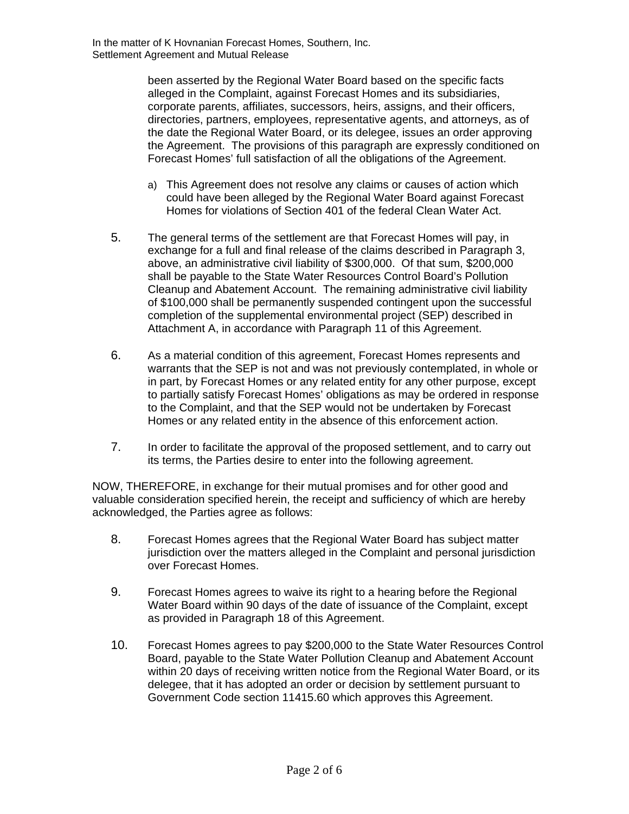been asserted by the Regional Water Board based on the specific facts alleged in the Complaint, against Forecast Homes and its subsidiaries, corporate parents, affiliates, successors, heirs, assigns, and their officers, directories, partners, employees, representative agents, and attorneys, as of the date the Regional Water Board, or its delegee, issues an order approving the Agreement. The provisions of this paragraph are expressly conditioned on Forecast Homes' full satisfaction of all the obligations of the Agreement.

- a) This Agreement does not resolve any claims or causes of action which could have been alleged by the Regional Water Board against Forecast Homes for violations of Section 401 of the federal Clean Water Act.
- 5. The general terms of the settlement are that Forecast Homes will pay, in exchange for a full and final release of the claims described in Paragraph 3, above, an administrative civil liability of \$300,000. Of that sum, \$200,000 shall be payable to the State Water Resources Control Board's Pollution Cleanup and Abatement Account. The remaining administrative civil liability of \$100,000 shall be permanently suspended contingent upon the successful completion of the supplemental environmental project (SEP) described in Attachment A, in accordance with Paragraph 11 of this Agreement.
- 6. As a material condition of this agreement, Forecast Homes represents and warrants that the SEP is not and was not previously contemplated, in whole or in part, by Forecast Homes or any related entity for any other purpose, except to partially satisfy Forecast Homes' obligations as may be ordered in response to the Complaint, and that the SEP would not be undertaken by Forecast Homes or any related entity in the absence of this enforcement action.
- 7. In order to facilitate the approval of the proposed settlement, and to carry out its terms, the Parties desire to enter into the following agreement.

NOW, THEREFORE, in exchange for their mutual promises and for other good and valuable consideration specified herein, the receipt and sufficiency of which are hereby acknowledged, the Parties agree as follows:

- 8. Forecast Homes agrees that the Regional Water Board has subject matter jurisdiction over the matters alleged in the Complaint and personal jurisdiction over Forecast Homes.
- 9. Forecast Homes agrees to waive its right to a hearing before the Regional Water Board within 90 days of the date of issuance of the Complaint, except as provided in Paragraph 18 of this Agreement.
- 10. Forecast Homes agrees to pay \$200,000 to the State Water Resources Control Board, payable to the State Water Pollution Cleanup and Abatement Account within 20 days of receiving written notice from the Regional Water Board, or its delegee, that it has adopted an order or decision by settlement pursuant to Government Code section 11415.60 which approves this Agreement.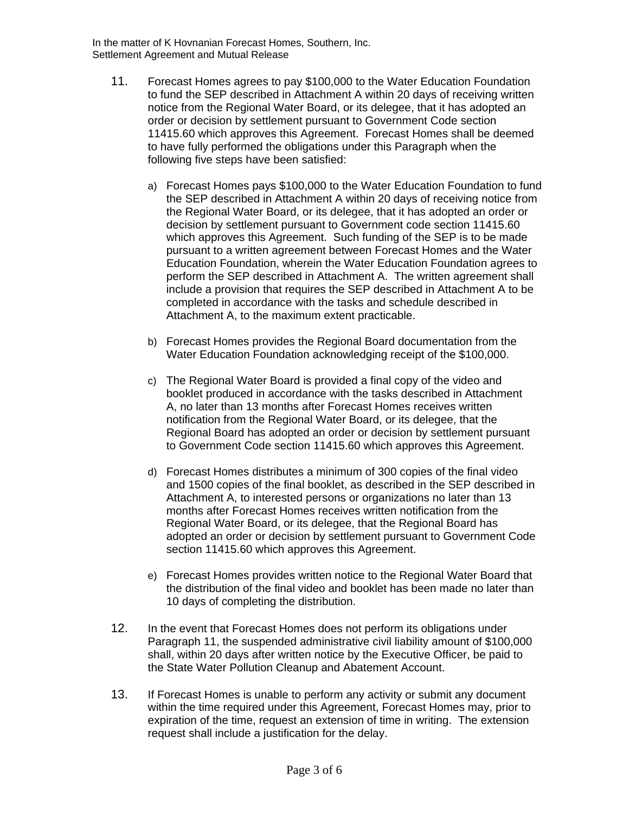In the matter of K Hovnanian Forecast Homes, Southern, Inc. Settlement Agreement and Mutual Release

- 11. Forecast Homes agrees to pay \$100,000 to the Water Education Foundation to fund the SEP described in Attachment A within 20 days of receiving written notice from the Regional Water Board, or its delegee, that it has adopted an order or decision by settlement pursuant to Government Code section 11415.60 which approves this Agreement. Forecast Homes shall be deemed to have fully performed the obligations under this Paragraph when the following five steps have been satisfied:
	- a) Forecast Homes pays \$100,000 to the Water Education Foundation to fund the SEP described in Attachment A within 20 days of receiving notice from the Regional Water Board, or its delegee, that it has adopted an order or decision by settlement pursuant to Government code section 11415.60 which approves this Agreement. Such funding of the SEP is to be made pursuant to a written agreement between Forecast Homes and the Water Education Foundation, wherein the Water Education Foundation agrees to perform the SEP described in Attachment A. The written agreement shall include a provision that requires the SEP described in Attachment A to be completed in accordance with the tasks and schedule described in Attachment A, to the maximum extent practicable.
	- b) Forecast Homes provides the Regional Board documentation from the Water Education Foundation acknowledging receipt of the \$100,000.
	- c) The Regional Water Board is provided a final copy of the video and booklet produced in accordance with the tasks described in Attachment A, no later than 13 months after Forecast Homes receives written notification from the Regional Water Board, or its delegee, that the Regional Board has adopted an order or decision by settlement pursuant to Government Code section 11415.60 which approves this Agreement.
	- d) Forecast Homes distributes a minimum of 300 copies of the final video and 1500 copies of the final booklet, as described in the SEP described in Attachment A, to interested persons or organizations no later than 13 months after Forecast Homes receives written notification from the Regional Water Board, or its delegee, that the Regional Board has adopted an order or decision by settlement pursuant to Government Code section 11415.60 which approves this Agreement.
	- e) Forecast Homes provides written notice to the Regional Water Board that the distribution of the final video and booklet has been made no later than 10 days of completing the distribution.
- 12. In the event that Forecast Homes does not perform its obligations under Paragraph 11, the suspended administrative civil liability amount of \$100,000 shall, within 20 days after written notice by the Executive Officer, be paid to the State Water Pollution Cleanup and Abatement Account.
- 13. If Forecast Homes is unable to perform any activity or submit any document within the time required under this Agreement. Forecast Homes may, prior to expiration of the time, request an extension of time in writing. The extension request shall include a justification for the delay.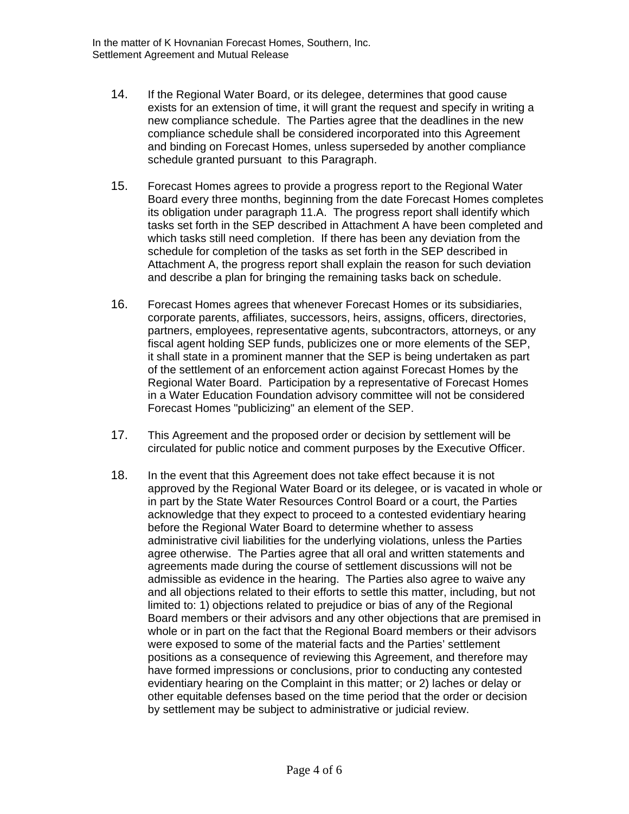- 14. If the Regional Water Board, or its delegee, determines that good cause exists for an extension of time, it will grant the request and specify in writing a new compliance schedule. The Parties agree that the deadlines in the new compliance schedule shall be considered incorporated into this Agreement and binding on Forecast Homes, unless superseded by another compliance schedule granted pursuant to this Paragraph.
- 15. Forecast Homes agrees to provide a progress report to the Regional Water Board every three months, beginning from the date Forecast Homes completes its obligation under paragraph 11.A. The progress report shall identify which tasks set forth in the SEP described in Attachment A have been completed and which tasks still need completion. If there has been any deviation from the schedule for completion of the tasks as set forth in the SEP described in Attachment A, the progress report shall explain the reason for such deviation and describe a plan for bringing the remaining tasks back on schedule.
- 16. Forecast Homes agrees that whenever Forecast Homes or its subsidiaries, corporate parents, affiliates, successors, heirs, assigns, officers, directories, partners, employees, representative agents, subcontractors, attorneys, or any fiscal agent holding SEP funds, publicizes one or more elements of the SEP, it shall state in a prominent manner that the SEP is being undertaken as part of the settlement of an enforcement action against Forecast Homes by the Regional Water Board. Participation by a representative of Forecast Homes in a Water Education Foundation advisory committee will not be considered Forecast Homes "publicizing" an element of the SEP.
- 17. This Agreement and the proposed order or decision by settlement will be circulated for public notice and comment purposes by the Executive Officer.
- 18. In the event that this Agreement does not take effect because it is not approved by the Regional Water Board or its delegee, or is vacated in whole or in part by the State Water Resources Control Board or a court, the Parties acknowledge that they expect to proceed to a contested evidentiary hearing before the Regional Water Board to determine whether to assess administrative civil liabilities for the underlying violations, unless the Parties agree otherwise. The Parties agree that all oral and written statements and agreements made during the course of settlement discussions will not be admissible as evidence in the hearing. The Parties also agree to waive any and all objections related to their efforts to settle this matter, including, but not limited to: 1) objections related to prejudice or bias of any of the Regional Board members or their advisors and any other objections that are premised in whole or in part on the fact that the Regional Board members or their advisors were exposed to some of the material facts and the Parties' settlement positions as a consequence of reviewing this Agreement, and therefore may have formed impressions or conclusions, prior to conducting any contested evidentiary hearing on the Complaint in this matter; or 2) laches or delay or other equitable defenses based on the time period that the order or decision by settlement may be subject to administrative or judicial review.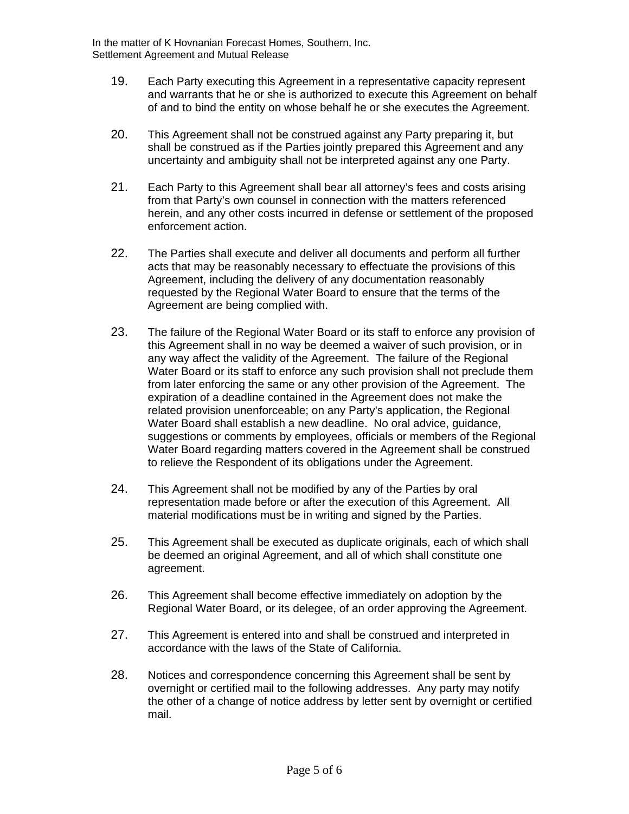In the matter of K Hovnanian Forecast Homes, Southern, Inc. Settlement Agreement and Mutual Release

- 19. Each Party executing this Agreement in a representative capacity represent and warrants that he or she is authorized to execute this Agreement on behalf of and to bind the entity on whose behalf he or she executes the Agreement.
- 20. This Agreement shall not be construed against any Party preparing it, but shall be construed as if the Parties jointly prepared this Agreement and any uncertainty and ambiguity shall not be interpreted against any one Party.
- 21. Each Party to this Agreement shall bear all attorney's fees and costs arising from that Party's own counsel in connection with the matters referenced herein, and any other costs incurred in defense or settlement of the proposed enforcement action.
- 22. The Parties shall execute and deliver all documents and perform all further acts that may be reasonably necessary to effectuate the provisions of this Agreement, including the delivery of any documentation reasonably requested by the Regional Water Board to ensure that the terms of the Agreement are being complied with.
- 23. The failure of the Regional Water Board or its staff to enforce any provision of this Agreement shall in no way be deemed a waiver of such provision, or in any way affect the validity of the Agreement. The failure of the Regional Water Board or its staff to enforce any such provision shall not preclude them from later enforcing the same or any other provision of the Agreement. The expiration of a deadline contained in the Agreement does not make the related provision unenforceable; on any Party's application, the Regional Water Board shall establish a new deadline. No oral advice, guidance, suggestions or comments by employees, officials or members of the Regional Water Board regarding matters covered in the Agreement shall be construed to relieve the Respondent of its obligations under the Agreement.
- 24. This Agreement shall not be modified by any of the Parties by oral representation made before or after the execution of this Agreement. All material modifications must be in writing and signed by the Parties.
- 25. This Agreement shall be executed as duplicate originals, each of which shall be deemed an original Agreement, and all of which shall constitute one agreement.
- 26. This Agreement shall become effective immediately on adoption by the Regional Water Board, or its delegee, of an order approving the Agreement.
- 27. This Agreement is entered into and shall be construed and interpreted in accordance with the laws of the State of California.
- 28. Notices and correspondence concerning this Agreement shall be sent by overnight or certified mail to the following addresses. Any party may notify the other of a change of notice address by letter sent by overnight or certified mail.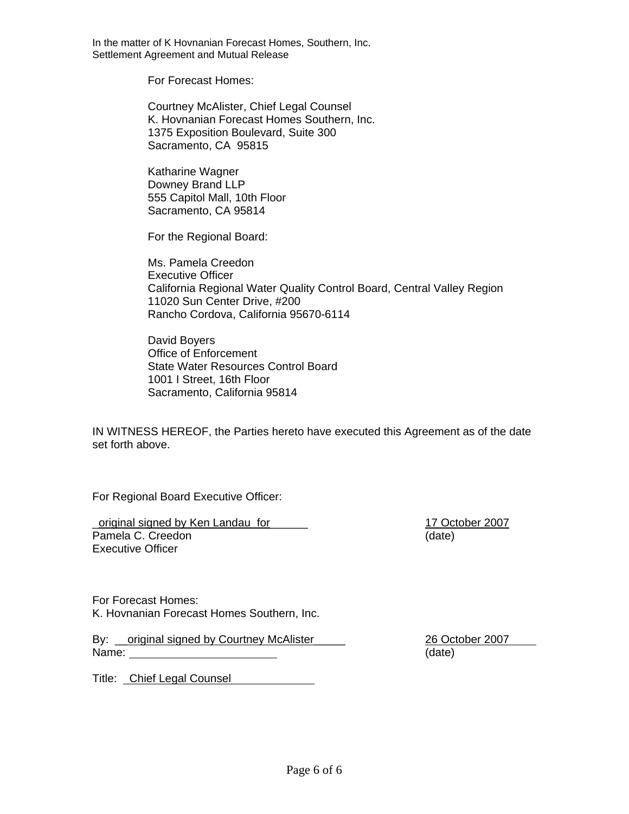In the matter of K Hovnanian Forecast Homes, Southern, Inc. Settlement Agreement and Mutual Release

For Forecast Homes:

Courtney McAlister, Chief Legal Counsel K. Hovnanian Forecast Homes Southern, Inc. 1375 Exposition Boulevard, Suite 300 Sacramento, CA 95815

Katharine Wagner Downey Brand LLP 555 Capitol Mall, 10th Floor Sacramento, CA 95814

For the Regional Board:

Ms. Pamela Creedon Executive Officer California Regional Water Quality Control Board, Central Valley Region 11020 Sun Center Drive, #200 Rancho Cordova, California 95670-6114

David Boyers Office of Enforcement State Water Resources Control Board 1001 I Street, 16th Floor Sacramento, California 95814

IN WITNESS HEREOF, the Parties hereto have executed this Agreement as of the date set forth above.

For Regional Board Executive Officer:

original signed by Ken Landau for the control of the total 17 October 2007 Pamela C. Creedon (date) Executive Officer

For Forecast Homes: K. Hovnanian Forecast Homes Southern, Inc.

By: criginal signed by Courtney McAlister **Example 26 October 2007** Name: (date)

Title: Chief Legal Counsel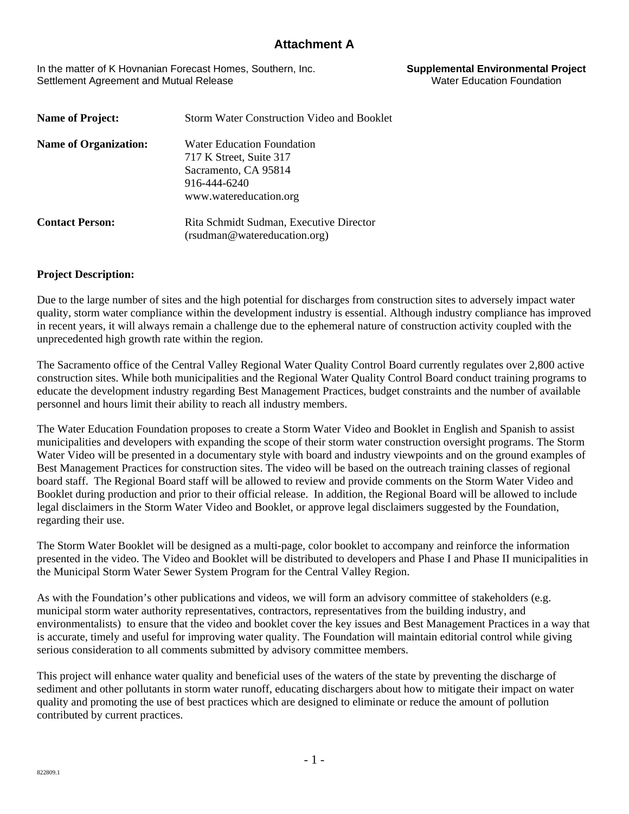In the matter of K Hovnanian Forecast Homes, Southern, Inc. **Supplemental Environmental Project**  Settlement Agreement and Mutual Release

| <b>Name of Project:</b>      | <b>Storm Water Construction Video and Booklet</b> |  |  |  |  |  |  |  |
|------------------------------|---------------------------------------------------|--|--|--|--|--|--|--|
| <b>Name of Organization:</b> | Water Education Foundation                        |  |  |  |  |  |  |  |
|                              | 717 K Street, Suite 317                           |  |  |  |  |  |  |  |
|                              | Sacramento, CA 95814                              |  |  |  |  |  |  |  |
|                              | 916-444-6240                                      |  |  |  |  |  |  |  |
|                              | www.watereducation.org                            |  |  |  |  |  |  |  |
| <b>Contact Person:</b>       | Rita Schmidt Sudman, Executive Director           |  |  |  |  |  |  |  |
|                              | (rsudman@watereducation.org)                      |  |  |  |  |  |  |  |

#### **Project Description:**

Due to the large number of sites and the high potential for discharges from construction sites to adversely impact water quality, storm water compliance within the development industry is essential. Although industry compliance has improved in recent years, it will always remain a challenge due to the ephemeral nature of construction activity coupled with the unprecedented high growth rate within the region.

The Sacramento office of the Central Valley Regional Water Quality Control Board currently regulates over 2,800 active construction sites. While both municipalities and the Regional Water Quality Control Board conduct training programs to educate the development industry regarding Best Management Practices, budget constraints and the number of available personnel and hours limit their ability to reach all industry members.

The Water Education Foundation proposes to create a Storm Water Video and Booklet in English and Spanish to assist municipalities and developers with expanding the scope of their storm water construction oversight programs. The Storm Water Video will be presented in a documentary style with board and industry viewpoints and on the ground examples of Best Management Practices for construction sites. The video will be based on the outreach training classes of regional board staff. The Regional Board staff will be allowed to review and provide comments on the Storm Water Video and Booklet during production and prior to their official release. In addition, the Regional Board will be allowed to include legal disclaimers in the Storm Water Video and Booklet, or approve legal disclaimers suggested by the Foundation, regarding their use.

The Storm Water Booklet will be designed as a multi-page, color booklet to accompany and reinforce the information presented in the video. The Video and Booklet will be distributed to developers and Phase I and Phase II municipalities in the Municipal Storm Water Sewer System Program for the Central Valley Region.

As with the Foundation's other publications and videos, we will form an advisory committee of stakeholders (e.g. municipal storm water authority representatives, contractors, representatives from the building industry, and environmentalists) to ensure that the video and booklet cover the key issues and Best Management Practices in a way that is accurate, timely and useful for improving water quality. The Foundation will maintain editorial control while giving serious consideration to all comments submitted by advisory committee members.

This project will enhance water quality and beneficial uses of the waters of the state by preventing the discharge of sediment and other pollutants in storm water runoff, educating dischargers about how to mitigate their impact on water quality and promoting the use of best practices which are designed to eliminate or reduce the amount of pollution contributed by current practices.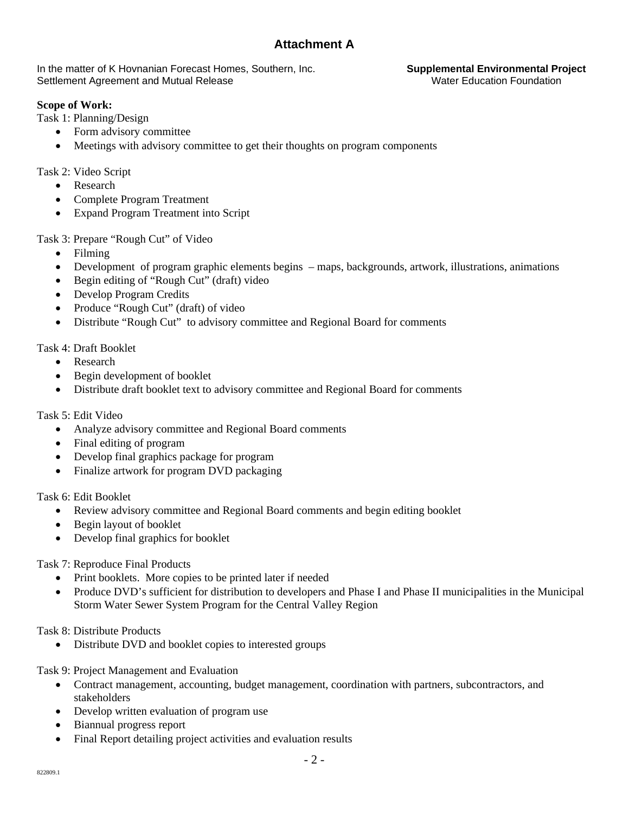In the matter of K Hovnanian Forecast Homes, Southern, Inc. **Supplemental Environmental Project**  Settlement Agreement and Mutual Release

### **Scope of Work:**

Task 1: Planning/Design

- Form advisory committee
- Meetings with advisory committee to get their thoughts on program components

Task 2: Video Script

- Research
- Complete Program Treatment
- Expand Program Treatment into Script

Task 3: Prepare "Rough Cut" of Video

- Filming
- Development of program graphic elements begins maps, backgrounds, artwork, illustrations, animations
- Begin editing of "Rough Cut" (draft) video
- Develop Program Credits
- Produce "Rough Cut" (draft) of video
- Distribute "Rough Cut" to advisory committee and Regional Board for comments

Task 4: Draft Booklet

- Research
- Begin development of booklet
- Distribute draft booklet text to advisory committee and Regional Board for comments

Task 5: Edit Video

- Analyze advisory committee and Regional Board comments
- Final editing of program
- Develop final graphics package for program
- Finalize artwork for program DVD packaging

Task 6: Edit Booklet

- Review advisory committee and Regional Board comments and begin editing booklet
- Begin layout of booklet
- Develop final graphics for booklet

Task 7: Reproduce Final Products

- Print booklets. More copies to be printed later if needed
- Produce DVD's sufficient for distribution to developers and Phase I and Phase II municipalities in the Municipal Storm Water Sewer System Program for the Central Valley Region

Task 8: Distribute Products<br>• Distribute DVD and

• Distribute DVD and booklet copies to interested groups

Task 9: Project Management and Evaluation

- Contract management, accounting, budget management, coordination with partners, subcontractors, and stakeholders
- Develop written evaluation of program use
- Biannual progress report
- Final Report detailing project activities and evaluation results